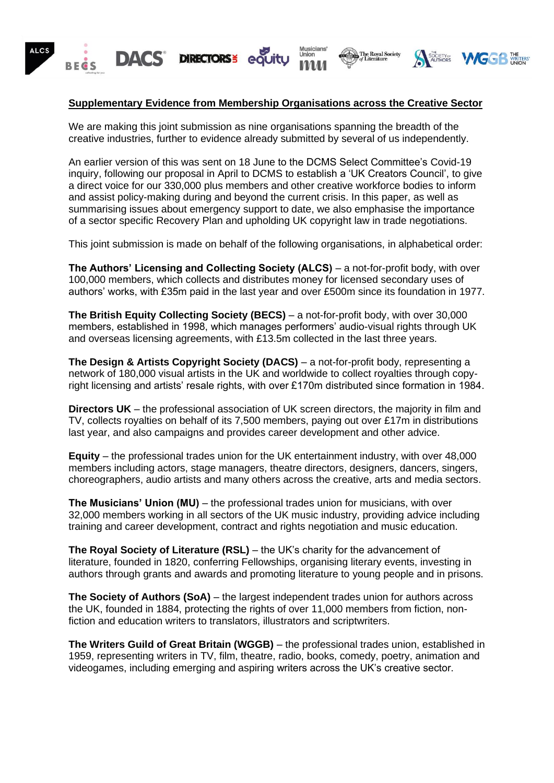

## **Supplementary Evidence from Membership Organisations across the Creative Sector**

We are making this joint submission as nine organisations spanning the breadth of the creative industries, further to evidence already submitted by several of us independently.

An earlier version of this was sent on 18 June to the DCMS Select Committee's Covid-19 inquiry, following our proposal in April to DCMS to establish a 'UK Creators Council', to give a direct voice for our 330,000 plus members and other creative workforce bodies to inform and assist policy-making during and beyond the current crisis. In this paper, as well as summarising issues about emergency support to date, we also emphasise the importance of a sector specific Recovery Plan and upholding UK copyright law in trade negotiations.

This joint submission is made on behalf of the following organisations, in alphabetical order:

**The Authors' Licensing and Collecting Society (ALCS)** – a not-for-profit body, with over 100,000 members, which collects and distributes money for licensed secondary uses of authors' works, with £35m paid in the last year and over £500m since its foundation in 1977.

**The British Equity Collecting Society (BECS)** – a not-for-profit body, with over 30,000 members, established in 1998, which manages performers' audio-visual rights through UK and overseas licensing agreements, with £13.5m collected in the last three years.

**The Design & Artists Copyright Society (DACS)** – a not-for-profit body, representing a network of 180,000 visual artists in the UK and worldwide to collect royalties through copyright licensing and artists' resale rights, with over £170m distributed since formation in 1984.

**Directors UK** – the professional association of UK screen directors, the majority in film and TV, collects royalties on behalf of its 7,500 members, paying out over £17m in distributions last year, and also campaigns and provides career development and other advice.

**Equity** – the professional trades union for the UK entertainment industry, with over 48,000 members including actors, stage managers, theatre directors, designers, dancers, singers, choreographers, audio artists and many others across the creative, arts and media sectors.

**The Musicians' Union (MU)** – the professional trades union for musicians, with over 32,000 members working in all sectors of the UK music industry, providing advice including training and career development, contract and rights negotiation and music education.

**The Royal Society of Literature (RSL)** – the UK's charity for the advancement of literature, founded in 1820, conferring Fellowships, organising literary events, investing in authors through grants and awards and promoting literature to young people and in prisons.

**The Society of Authors (SoA)** – the largest independent trades union for authors across the UK, founded in 1884, protecting the rights of over 11,000 members from fiction, nonfiction and education writers to translators, illustrators and scriptwriters.

**The Writers Guild of Great Britain (WGGB)** – the professional trades union, established in 1959, representing writers in TV, film, theatre, radio, books, comedy, poetry, animation and videogames, including emerging and aspiring writers across the UK's creative sector.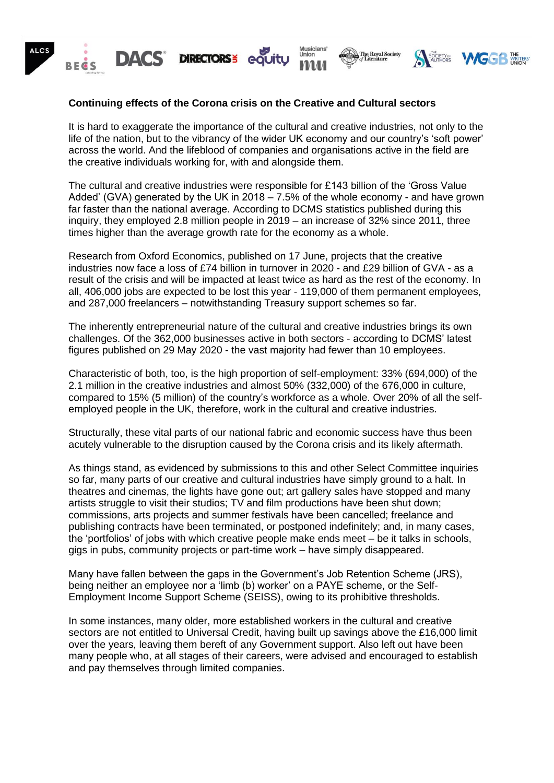

# **Continuing effects of the Corona crisis on the Creative and Cultural sectors**

It is hard to exaggerate the importance of the cultural and creative industries, not only to the life of the nation, but to the vibrancy of the wider UK economy and our country's 'soft power' across the world. And the lifeblood of companies and organisations active in the field are the creative individuals working for, with and alongside them.

The cultural and creative industries were responsible for £143 billion of the 'Gross Value Added' (GVA) generated by the UK in 2018 – 7.5% of the whole economy - and have grown far faster than the national average. According to DCMS statistics published during this inquiry, they employed 2.8 million people in 2019 – an increase of 32% since 2011, three times higher than the average growth rate for the economy as a whole.

Research from Oxford Economics, published on 17 June, projects that the creative industries now face a loss of £74 billion in turnover in 2020 - and £29 billion of GVA - as a result of the crisis and will be impacted at least twice as hard as the rest of the economy. In all, 406,000 jobs are expected to be lost this year - 119,000 of them permanent employees, and 287,000 freelancers – notwithstanding Treasury support schemes so far.

The inherently entrepreneurial nature of the cultural and creative industries brings its own challenges. Of the 362,000 businesses active in both sectors - according to DCMS' latest figures published on 29 May 2020 - the vast majority had fewer than 10 employees.

Characteristic of both, too, is the high proportion of self-employment: 33% (694,000) of the 2.1 million in the creative industries and almost 50% (332,000) of the 676,000 in culture, compared to 15% (5 million) of the country's workforce as a whole. Over 20% of all the selfemployed people in the UK, therefore, work in the cultural and creative industries.

Structurally, these vital parts of our national fabric and economic success have thus been acutely vulnerable to the disruption caused by the Corona crisis and its likely aftermath.

As things stand, as evidenced by submissions to this and other Select Committee inquiries so far, many parts of our creative and cultural industries have simply ground to a halt. In theatres and cinemas, the lights have gone out; art gallery sales have stopped and many artists struggle to visit their studios; TV and film productions have been shut down; commissions, arts projects and summer festivals have been cancelled; freelance and publishing contracts have been terminated, or postponed indefinitely; and, in many cases, the 'portfolios' of jobs with which creative people make ends meet – be it talks in schools, gigs in pubs, community projects or part-time work – have simply disappeared.

Many have fallen between the gaps in the Government's Job Retention Scheme (JRS), being neither an employee nor a 'limb (b) worker' on a PAYE scheme, or the Self-Employment Income Support Scheme (SEISS), owing to its prohibitive thresholds.

In some instances, many older, more established workers in the cultural and creative sectors are not entitled to Universal Credit, having built up savings above the £16,000 limit over the years, leaving them bereft of any Government support. Also left out have been many people who, at all stages of their careers, were advised and encouraged to establish and pay themselves through limited companies.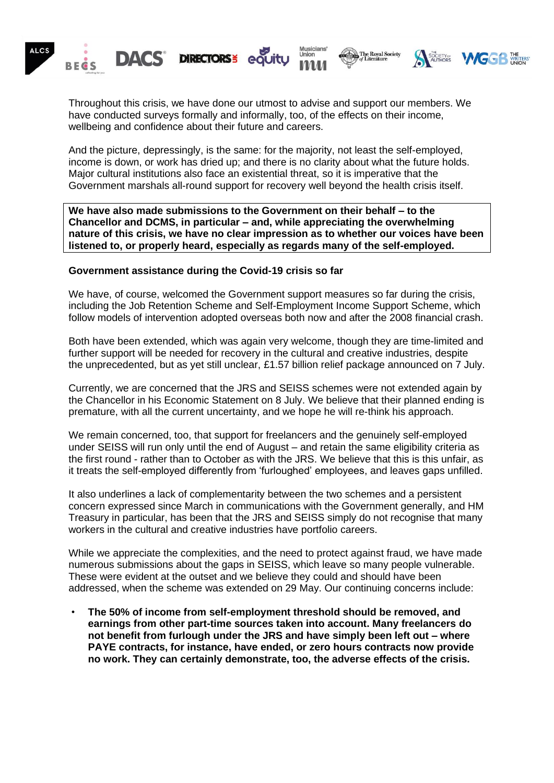

Throughout this crisis, we have done our utmost to advise and support our members. We have conducted surveys formally and informally, too, of the effects on their income, wellbeing and confidence about their future and careers.

And the picture, depressingly, is the same: for the majority, not least the self-employed, income is down, or work has dried up; and there is no clarity about what the future holds. Major cultural institutions also face an existential threat, so it is imperative that the Government marshals all-round support for recovery well beyond the health crisis itself.

**We have also made submissions to the Government on their behalf – to the Chancellor and DCMS, in particular – and, while appreciating the overwhelming nature of this crisis, we have no clear impression as to whether our voices have been listened to, or properly heard, especially as regards many of the self-employed.**

#### **Government assistance during the Covid-19 crisis so far**

We have, of course, welcomed the Government support measures so far during the crisis, including the Job Retention Scheme and Self-Employment Income Support Scheme, which follow models of intervention adopted overseas both now and after the 2008 financial crash.

Both have been extended, which was again very welcome, though they are time-limited and further support will be needed for recovery in the cultural and creative industries, despite the unprecedented, but as yet still unclear, £1.57 billion relief package announced on 7 July.

Currently, we are concerned that the JRS and SEISS schemes were not extended again by the Chancellor in his Economic Statement on 8 July. We believe that their planned ending is premature, with all the current uncertainty, and we hope he will re-think his approach.

We remain concerned, too, that support for freelancers and the genuinely self-employed under SEISS will run only until the end of August – and retain the same eligibility criteria as the first round - rather than to October as with the JRS. We believe that this is this unfair, as it treats the self-employed differently from 'furloughed' employees, and leaves gaps unfilled.

It also underlines a lack of complementarity between the two schemes and a persistent concern expressed since March in communications with the Government generally, and HM Treasury in particular, has been that the JRS and SEISS simply do not recognise that many workers in the cultural and creative industries have portfolio careers.

While we appreciate the complexities, and the need to protect against fraud, we have made numerous submissions about the gaps in SEISS, which leave so many people vulnerable. These were evident at the outset and we believe they could and should have been addressed, when the scheme was extended on 29 May. Our continuing concerns include:

• **The 50% of income from self-employment threshold should be removed, and earnings from other part-time sources taken into account. Many freelancers do not benefit from furlough under the JRS and have simply been left out – where PAYE contracts, for instance, have ended, or zero hours contracts now provide no work. They can certainly demonstrate, too, the adverse effects of the crisis.**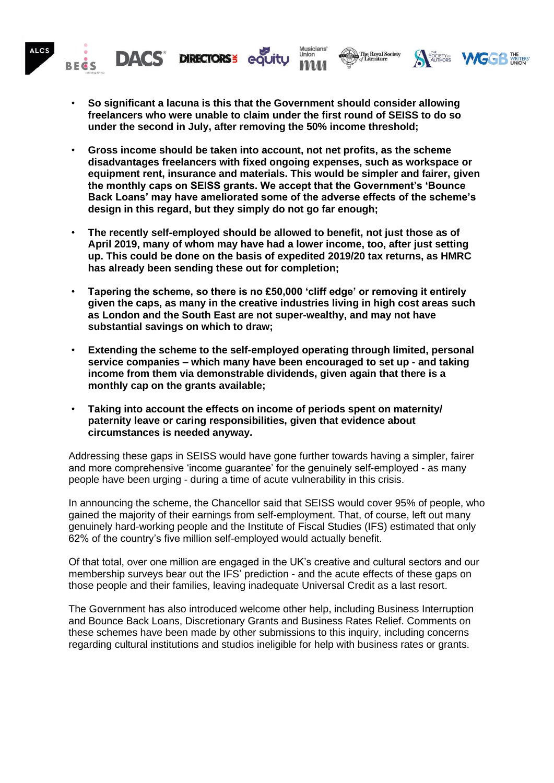

- **So significant a lacuna is this that the Government should consider allowing freelancers who were unable to claim under the first round of SEISS to do so under the second in July, after removing the 50% income threshold;**
- **Gross income should be taken into account, not net profits, as the scheme disadvantages freelancers with fixed ongoing expenses, such as workspace or equipment rent, insurance and materials. This would be simpler and fairer, given the monthly caps on SEISS grants. We accept that the Government's 'Bounce Back Loans' may have ameliorated some of the adverse effects of the scheme's design in this regard, but they simply do not go far enough;**
- **The recently self-employed should be allowed to benefit, not just those as of April 2019, many of whom may have had a lower income, too, after just setting up. This could be done on the basis of expedited 2019/20 tax returns, as HMRC has already been sending these out for completion;**
- **Tapering the scheme, so there is no £50,000 'cliff edge' or removing it entirely given the caps, as many in the creative industries living in high cost areas such as London and the South East are not super-wealthy, and may not have substantial savings on which to draw;**
- **Extending the scheme to the self-employed operating through limited, personal service companies – which many have been encouraged to set up - and taking income from them via demonstrable dividends, given again that there is a monthly cap on the grants available;**
- **Taking into account the effects on income of periods spent on maternity/ paternity leave or caring responsibilities, given that evidence about circumstances is needed anyway.**

Addressing these gaps in SEISS would have gone further towards having a simpler, fairer and more comprehensive 'income guarantee' for the genuinely self-employed - as many people have been urging - during a time of acute vulnerability in this crisis.

In announcing the scheme, the Chancellor said that SEISS would cover 95% of people, who gained the majority of their earnings from self-employment. That, of course, left out many genuinely hard-working people and the Institute of Fiscal Studies (IFS) estimated that only 62% of the country's five million self-employed would actually benefit.

Of that total, over one million are engaged in the UK's creative and cultural sectors and our membership surveys bear out the IFS' prediction - and the acute effects of these gaps on those people and their families, leaving inadequate Universal Credit as a last resort.

The Government has also introduced welcome other help, including Business Interruption and Bounce Back Loans, Discretionary Grants and Business Rates Relief. Comments on these schemes have been made by other submissions to this inquiry, including concerns regarding cultural institutions and studios ineligible for help with business rates or grants.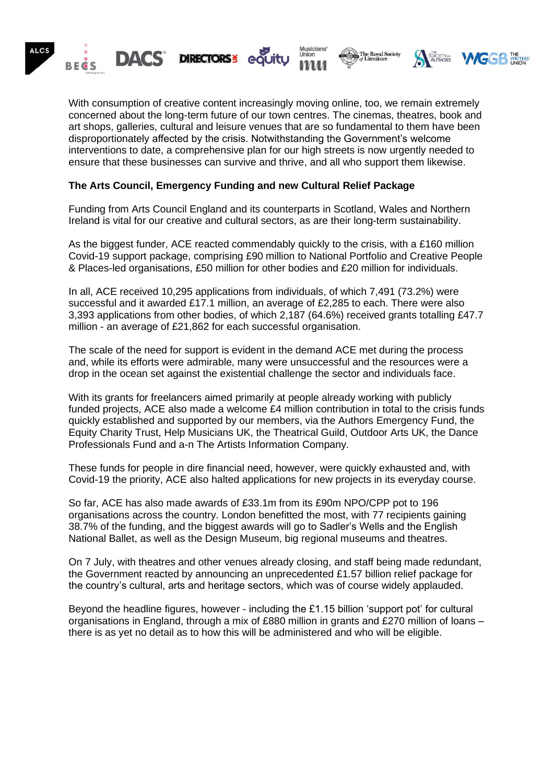

With consumption of creative content increasingly moving online, too, we remain extremely concerned about the long-term future of our town centres. The cinemas, theatres, book and art shops, galleries, cultural and leisure venues that are so fundamental to them have been disproportionately affected by the crisis. Notwithstanding the Government's welcome interventions to date, a comprehensive plan for our high streets is now urgently needed to ensure that these businesses can survive and thrive, and all who support them likewise.

## **The Arts Council, Emergency Funding and new Cultural Relief Package**

Funding from Arts Council England and its counterparts in Scotland, Wales and Northern Ireland is vital for our creative and cultural sectors, as are their long-term sustainability.

As the biggest funder, ACE reacted commendably quickly to the crisis, with a £160 million Covid-19 support package, comprising £90 million to National Portfolio and Creative People & Places-led organisations, £50 million for other bodies and £20 million for individuals.

In all, ACE received 10,295 applications from individuals, of which 7,491 (73.2%) were successful and it awarded £17.1 million, an average of £2,285 to each. There were also 3,393 applications from other bodies, of which 2,187 (64.6%) received grants totalling £47.7 million - an average of £21,862 for each successful organisation.

The scale of the need for support is evident in the demand ACE met during the process and, while its efforts were admirable, many were unsuccessful and the resources were a drop in the ocean set against the existential challenge the sector and individuals face.

With its grants for freelancers aimed primarily at people already working with publicly funded projects, ACE also made a welcome £4 million contribution in total to the crisis funds quickly established and supported by our members, via the Authors Emergency Fund, the Equity Charity Trust, Help Musicians UK, the Theatrical Guild, Outdoor Arts UK, the Dance Professionals Fund and a-n The Artists Information Company.

These funds for people in dire financial need, however, were quickly exhausted and, with Covid-19 the priority, ACE also halted applications for new projects in its everyday course.

So far, ACE has also made awards of £33.1m from its £90m NPO/CPP pot to 196 organisations across the country. London benefitted the most, with 77 recipients gaining 38.7% of the funding, and the biggest awards will go to Sadler's Wells and the English National Ballet, as well as the Design Museum, big regional museums and theatres.

On 7 July, with theatres and other venues already closing, and staff being made redundant, the Government reacted by announcing an unprecedented £1.57 billion relief package for the country's cultural, arts and heritage sectors, which was of course widely applauded.

Beyond the headline figures, however - including the £1.15 billion 'support pot' for cultural organisations in England, through a mix of £880 million in grants and £270 million of loans – there is as yet no detail as to how this will be administered and who will be eligible.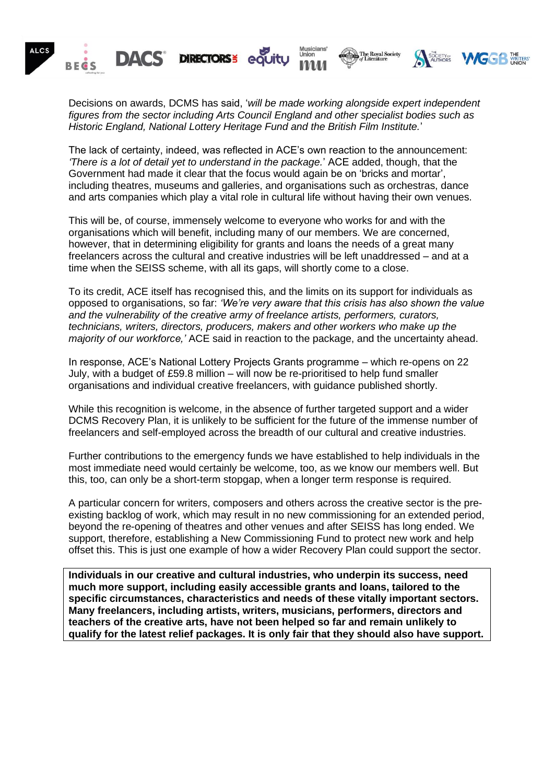

Decisions on awards, DCMS has said, '*will be made working alongside expert independent figures from the sector including Arts Council England and other specialist bodies such as Historic England, National Lottery Heritage Fund and the British Film Institute.*'

The lack of certainty, indeed, was reflected in ACE's own reaction to the announcement: *'There is a lot of detail yet to understand in the package.*' ACE added, though, that the Government had made it clear that the focus would again be on 'bricks and mortar', including theatres, museums and galleries, and organisations such as orchestras, dance and arts companies which play a vital role in cultural life without having their own venues.

This will be, of course, immensely welcome to everyone who works for and with the organisations which will benefit, including many of our members. We are concerned, however, that in determining eligibility for grants and loans the needs of a great many freelancers across the cultural and creative industries will be left unaddressed – and at a time when the SEISS scheme, with all its gaps, will shortly come to a close.

To its credit, ACE itself has recognised this, and the limits on its support for individuals as opposed to organisations, so far: *'We're very aware that this crisis has also shown the value and the vulnerability of the creative army of freelance artists, performers, curators, technicians, writers, directors, producers, makers and other workers who make up the majority of our workforce,'* ACE said in reaction to the package, and the uncertainty ahead.

In response, ACE's National Lottery Projects Grants programme – which re-opens on 22 July, with a budget of £59.8 million – will now be re-prioritised to help fund smaller organisations and individual creative freelancers, with guidance published shortly.

While this recognition is welcome, in the absence of further targeted support and a wider DCMS Recovery Plan, it is unlikely to be sufficient for the future of the immense number of freelancers and self-employed across the breadth of our cultural and creative industries.

Further contributions to the emergency funds we have established to help individuals in the most immediate need would certainly be welcome, too, as we know our members well. But this, too, can only be a short-term stopgap, when a longer term response is required.

A particular concern for writers, composers and others across the creative sector is the preexisting backlog of work, which may result in no new commissioning for an extended period, beyond the re-opening of theatres and other venues and after SEISS has long ended. We support, therefore, establishing a New Commissioning Fund to protect new work and help offset this. This is just one example of how a wider Recovery Plan could support the sector.

**Individuals in our creative and cultural industries, who underpin its success, need much more support, including easily accessible grants and loans, tailored to the specific circumstances, characteristics and needs of these vitally important sectors. Many freelancers, including artists, writers, musicians, performers, directors and teachers of the creative arts, have not been helped so far and remain unlikely to qualify for the latest relief packages. It is only fair that they should also have support.**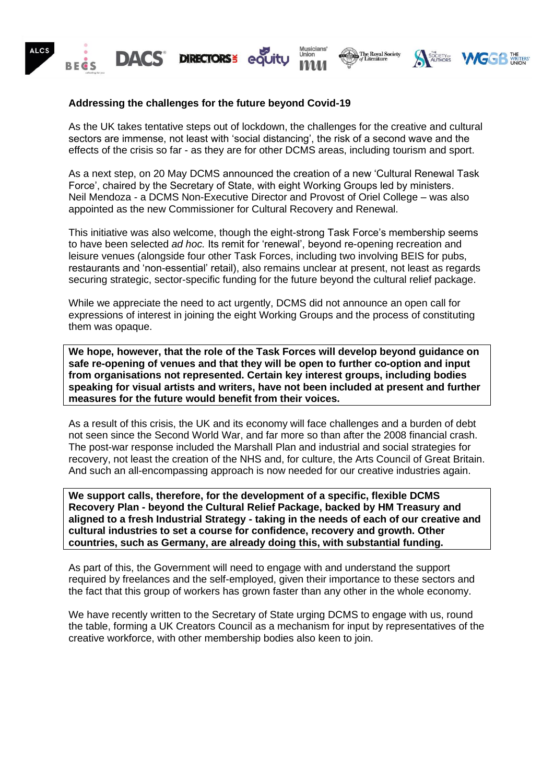

### **Addressing the challenges for the future beyond Covid-19**

As the UK takes tentative steps out of lockdown, the challenges for the creative and cultural sectors are immense, not least with 'social distancing', the risk of a second wave and the effects of the crisis so far - as they are for other DCMS areas, including tourism and sport.

As a next step, on 20 May DCMS announced the creation of a new 'Cultural Renewal Task Force', chaired by the Secretary of State, with eight Working Groups led by ministers. Neil Mendoza - a DCMS Non-Executive Director and Provost of Oriel College – was also appointed as the new Commissioner for Cultural Recovery and Renewal.

This initiative was also welcome, though the eight-strong Task Force's membership seems to have been selected *ad hoc.* Its remit for 'renewal', beyond re-opening recreation and leisure venues (alongside four other Task Forces, including two involving BEIS for pubs, restaurants and 'non-essential' retail), also remains unclear at present, not least as regards securing strategic, sector-specific funding for the future beyond the cultural relief package.

While we appreciate the need to act urgently, DCMS did not announce an open call for expressions of interest in joining the eight Working Groups and the process of constituting them was opaque.

**We hope, however, that the role of the Task Forces will develop beyond guidance on safe re-opening of venues and that they will be open to further co-option and input from organisations not represented. Certain key interest groups, including bodies speaking for visual artists and writers, have not been included at present and further measures for the future would benefit from their voices.** 

As a result of this crisis, the UK and its economy will face challenges and a burden of debt not seen since the Second World War, and far more so than after the 2008 financial crash. The post-war response included the Marshall Plan and industrial and social strategies for recovery, not least the creation of the NHS and, for culture, the Arts Council of Great Britain. And such an all-encompassing approach is now needed for our creative industries again.

**We support calls, therefore, for the development of a specific, flexible DCMS Recovery Plan - beyond the Cultural Relief Package, backed by HM Treasury and aligned to a fresh Industrial Strategy - taking in the needs of each of our creative and cultural industries to set a course for confidence, recovery and growth. Other countries, such as Germany, are already doing this, with substantial funding.** 

As part of this, the Government will need to engage with and understand the support required by freelances and the self-employed, given their importance to these sectors and the fact that this group of workers has grown faster than any other in the whole economy.

We have recently written to the Secretary of State urging DCMS to engage with us, round the table, forming a UK Creators Council as a mechanism for input by representatives of the creative workforce, with other membership bodies also keen to join.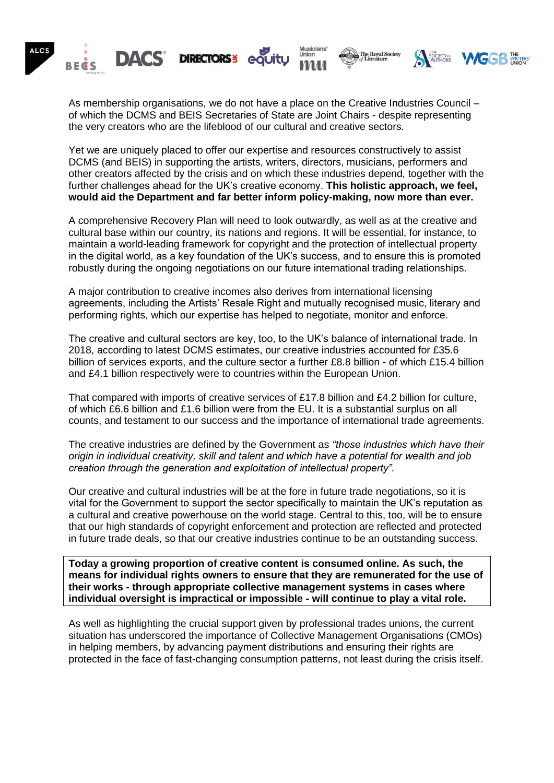

As membership organisations, we do not have a place on the Creative Industries Council – of which the DCMS and BEIS Secretaries of State are Joint Chairs - despite representing the very creators who are the lifeblood of our cultural and creative sectors.

Yet we are uniquely placed to offer our expertise and resources constructively to assist DCMS (and BEIS) in supporting the artists, writers, directors, musicians, performers and other creators affected by the crisis and on which these industries depend, together with the further challenges ahead for the UK's creative economy. **This holistic approach, we feel, would aid the Department and far better inform policy-making, now more than ever.**

A comprehensive Recovery Plan will need to look outwardly, as well as at the creative and cultural base within our country, its nations and regions. It will be essential, for instance, to maintain a world-leading framework for copyright and the protection of intellectual property in the digital world, as a key foundation of the UK's success, and to ensure this is promoted robustly during the ongoing negotiations on our future international trading relationships.

A major contribution to creative incomes also derives from international licensing agreements, including the Artists' Resale Right and mutually recognised music, literary and performing rights, which our expertise has helped to negotiate, monitor and enforce.

The creative and cultural sectors are key, too, to the UK's balance of international trade. In 2018, according to latest DCMS estimates, our creative industries accounted for £35.6 billion of services exports, and the culture sector a further £8.8 billion - of which £15.4 billion and £4.1 billion respectively were to countries within the European Union.

That compared with imports of creative services of £17.8 billion and £4.2 billion for culture, of which £6.6 billion and £1.6 billion were from the EU. It is a substantial surplus on all counts, and testament to our success and the importance of international trade agreements.

The creative industries are defined by the Government as *"those industries which have their origin in individual creativity, skill and talent and which have a potential for wealth and job creation through the generation and exploitation of intellectual property".*

Our creative and cultural industries will be at the fore in future trade negotiations, so it is vital for the Government to support the sector specifically to maintain the UK's reputation as a cultural and creative powerhouse on the world stage. Central to this, too, will be to ensure that our high standards of copyright enforcement and protection are reflected and protected in future trade deals, so that our creative industries continue to be an outstanding success.

**Today a growing proportion of creative content is consumed online. As such, the means for individual rights owners to ensure that they are remunerated for the use of their works - through appropriate collective management systems in cases where individual oversight is impractical or impossible - will continue to play a vital role.**

As well as highlighting the crucial support given by professional trades unions, the current situation has underscored the importance of Collective Management Organisations (CMOs) in helping members, by advancing payment distributions and ensuring their rights are protected in the face of fast-changing consumption patterns, not least during the crisis itself.